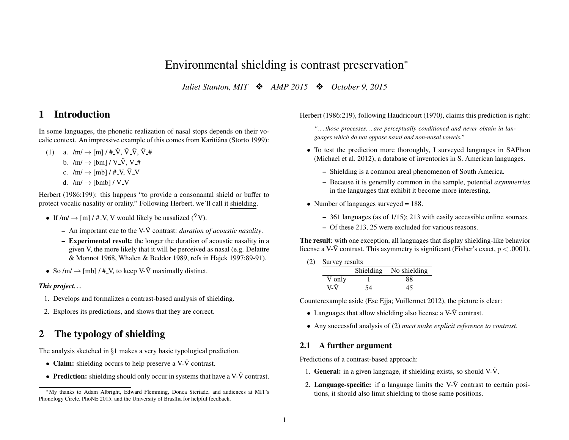# Environmental shielding is contrast preservation<sup>∗</sup>

*Juliet Stanton, MIT*  $\cdot$  *AMP 2015*  $\cdot$  *October 9, 2015* 

# 1 Introduction

In some languages, the phonetic realization of nasal stops depends on their vocalic context. An impressive example of this comes from Karitiana (Storto 1999):

(1) a.  $/m/\rightarrow$  [m]  $/$  #  $\tilde{V}$ ,  $\tilde{V}$   $\tilde{V}$ ,  $\tilde{V}$  # b.  $/m/ \rightarrow$  [bm] /  $V \tilde{V}$ ,  $V \#$ c.  $/m/\rightarrow$  [mb] / #\_V,  $\tilde{V}$ \_V d.  $/m/ \rightarrow$  [bmb] / V\_V

Herbert (1986:199): this happens "to provide a consonantal shield or buffer to protect vocalic nasality or orality." Following Herbert, we'll call it shielding.

- If  $/m/ \rightarrow$  [m] / #\_V, V would likely be nasalized ( $\tilde{V}V$ ).
	- $-$  An important cue to the V- $\tilde{V}$  contrast: *duration of acoustic nasality*.
	- Experimental result: the longer the duration of acoustic nasality in a given V, the more likely that it will be perceived as nasal (e.g. Delattre & Monnot 1968, Whalen & Beddor 1989, refs in Hajek 1997:89-91).
- So  $/m/ \rightarrow$  [mb] / #\_V, to keep V- $\tilde{V}$  maximally distinct.

#### *This project. . .*

- 1. Develops and formalizes a contrast-based analysis of shielding.
- 2. Explores its predictions, and shows that they are correct.

# 2 The typology of shielding

The analysis sketched in §1 makes a very basic typological prediction.

- Claim: shielding occurs to help preserve a V- $\tilde{V}$  contrast.
- Prediction: shielding should only occur in systems that have a  $V\tilde{V}$  contrast.

#### Herbert (1986:219), following Haudricourt (1970), claims this prediction is right:

*". . . those processes. . . are perceptually conditioned and never obtain in languages which do not oppose nasal and non-nasal vowels."*

- To test the prediction more thoroughly, I surveyed languages in SAPhon (Michael et al. 2012), a database of inventories in S. American languages.
	- Shielding is a common areal phenomenon of South America.
	- Because it is generally common in the sample, potential *asymmetries* in the languages that exhibit it become more interesting.
- Number of languages surveyed  $= 188$ .
	- 361 languages (as of 1/15); 213 with easily accessible online sources.
	- Of these 213, 25 were excluded for various reasons.

The result: with one exception, all languages that display shielding-like behavior license a V- $\tilde{V}$  contrast. This asymmetry is significant (Fisher's exact,  $p < .0001$ ).

(2) Survey results

|        | Shielding | No shielding |
|--------|-----------|--------------|
| V only |           | 88           |
| V-V    | 54        | 45           |

Counterexample aside (Ese Ejja; Vuillermet 2012), the picture is clear:

- Languages that allow shielding also license a  $V\tilde{V}$  contrast.
- Any successful analysis of (2) *must make explicit reference to contrast*.

## 2.1 A further argument

Predictions of a contrast-based approach:

- 1. **General:** in a given language, if shielding exists, so should  $V\tilde{V}$ .
- 2. Language-specific: if a language limits the V- $\tilde{V}$  contrast to certain positions, it should also limit shielding to those same positions.

<sup>∗</sup>My thanks to Adam Albright, Edward Flemming, Donca Steriade, and audiences at MIT's Phonology Circle, PhoNE 2015, and the University of Brasília for helpful feedback.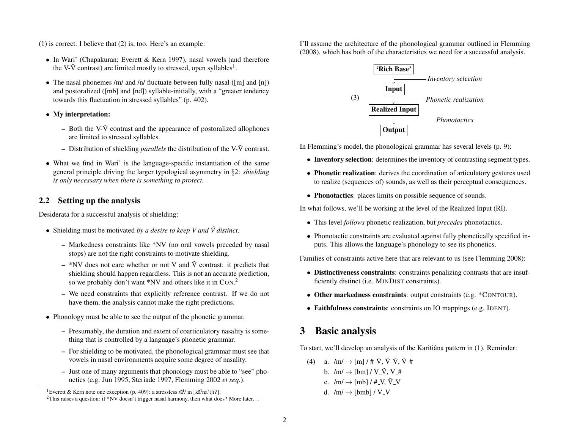(1) is correct. I believe that (2) is, too. Here's an example:

- In Wari' (Chapakuran; Everett & Kern 1997), nasal vowels (and therefore the V- $\tilde{V}$  contrast) are limited mostly to stressed, open syllables<sup>1</sup>.
- The nasal phonemes /m/ and /n/ fluctuate between fully nasal ([m] and [n]) and postoralized ([mb] and [nd]) syllable-initially, with a "greater tendency towards this fluctuation in stressed syllables" (p. 402).
- My interpretation:
	- Both the V- $\tilde{V}$  contrast and the appearance of postoralized allophones are limited to stressed syllables.
	- $-$  Distribution of shielding *parallels* the distribution of the V- $\tilde{V}$  contrast.
- What we find in Wari' is the language-specific instantiation of the same general principle driving the larger typological asymmetry in §2: *shielding is only necessary when there is something to protect.*

## 2.2 Setting up the analysis

Desiderata for a successful analysis of shielding:

- Shielding must be motivated by a desire to keep V and  $\tilde{V}$  distinct.
	- Markedness constraints like \*NV (no oral vowels preceded by nasal stops) are not the right constraints to motivate shielding.
	- \*NV does not care whether or not V and  $\tilde{V}$  contrast: it predicts that shielding should happen regardless. This is not an accurate prediction, so we probably don't want \*NV and others like it in CON.<sup>2</sup>
	- We need constraints that explicitly reference contrast. If we do not have them, the analysis cannot make the right predictions.
- Phonology must be able to see the output of the phonetic grammar.
	- Presumably, the duration and extent of coarticulatory nasality is something that is controlled by a language's phonetic grammar.
	- For shielding to be motivated, the phonological grammar must see that vowels in nasal environments acquire some degree of nasality.
	- Just one of many arguments that phonology must be able to "see" phonetics (e.g. Jun 1995, Steriade 1997, Flemming 2002 *et seq.*).

I'll assume the architecture of the phonological grammar outlined in Flemming (2008), which has both of the characteristics we need for a successful analysis.



In Flemming's model, the phonological grammar has several levels (p. 9):

- Inventory selection: determines the inventory of contrasting segment types.
- Phonetic realization: derives the coordination of articulatory gestures used to realize (sequences of) sounds, as well as their perceptual consequences.
- Phonotactics: places limits on possible sequence of sounds.

In what follows, we'll be working at the level of the Realized Input (RI).

- This level *follows* phonetic realization, but *precedes* phonotactics.
- Phonotactic constraints are evaluated against fully phonetically specified inputs. This allows the language's phonology to see its phonetics.

Families of constraints active here that are relevant to us (see Flemming 2008):

- Distinctiveness constraints: constraints penalizing contrasts that are insufficiently distinct (i.e. MINDIST constraints).
- Other markedness constraints: output constraints (e.g. \*CONTOUR).
- Faithfulness constraints: constraints on IO mappings (e.g. IDENT).

# 3 Basic analysis

To start, we'll develop an analysis of the Karitiâna pattern in (1). Reminder:

(4) a.  $/m / \rightarrow [m] / \# \tilde{V}$ ,  $\tilde{V} \tilde{V}$ ,  $\tilde{V} \#$ b.  $/m/ \rightarrow$  [bm] / V\_V, V\_# c.  $/m/\rightarrow$  [mb] / #\_V,  $\tilde{V}$ \_V d.  $/m/ \rightarrow$  [bmb] / V\_V

<sup>&</sup>lt;sup>1</sup>Everett & Kern note one exception (p. 409): a stressless / $\tilde{a}^{\tilde{i}}$ / in [k $\tilde{a}^{\tilde{i}}$ na't $\tilde{f}$ ii?].

<sup>&</sup>lt;sup>2</sup>This raises a question: if \*NV doesn't trigger nasal harmony, then what does? More later...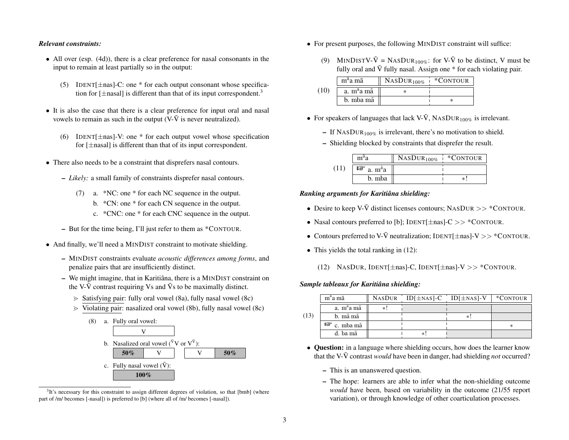#### *Relevant constraints:*

- All over (esp. (4d)), there is a clear preference for nasal consonants in the input to remain at least partially so in the output:
	- (5) IDENT $[\pm$ nas]-C: one \* for each output consonant whose specification for  $[\pm$ nasal] is different than that of its input correspondent.<sup>3</sup>
- It is also the case that there is a clear preference for input oral and nasal vowels to remain as such in the output (V- $\tilde{V}$  is never neutralized).
	- (6) IDENT  $\pm$ nas]-V: one \* for each output vowel whose specification for  $[\pm$ nasal] is different than that of its input correspondent.
- There also needs to be a constraint that disprefers nasal contours.
	- *Likely:* a small family of constraints disprefer nasal contours.
		- (7) a. \*NC: one \* for each NC sequence in the output.
			- b. \*CN: one \* for each CN sequence in the output.
			- c. \*CNC: one \* for each CNC sequence in the output.
	- But for the time being, I'll just refer to them as \*CONTOUR.
- And finally, we'll need a MINDIST constraint to motivate shielding.
	- MINDIST constraints evaluate *acoustic differences among forms*, and penalize pairs that are insufficiently distinct.
	- $-$  We might imagine, that in Karitiana, there is a MINDIST constraint on the V- $\tilde{V}$  contrast requiring Vs and  $\tilde{V}$ s to be maximally distinct.
		- $\geq$  Satisfying pair: fully oral vowel (8a), fully nasal vowel (8c)
		- $\ge$  Violating pair: nasalized oral vowel (8b), fully nasal vowel (8c)



 $3$ It's necessary for this constraint to assign different degrees of violation, so that [bmb] (where part of /m/ becomes [-nasal]) is preferred to [b] (where all of /m/ becomes [-nasal]).

- For present purposes, the following MINDIST constraint will suffice:
	- (9) MINDISTV- $\tilde{V} = NASDUR_{100\%}$ : for V- $\tilde{V}$  to be distinct, V must be fully oral and  $\tilde{V}$  fully nasal. Assign one  $*$  for each violating pair.

|      | $ma$ a mã              | $NASDUR_{100\%}$ | *CONTOUR |
|------|------------------------|------------------|----------|
| (10) | a. m <sup>a</sup> a mã |                  |          |
|      | b. mba mã              |                  |          |

- For speakers of languages that lack V- $\tilde{V}$ , NASDUR<sub>100%</sub> is irrelevant.
	- If NASDUR<sub>100%</sub> is irrelevant, there's no motivation to shield.
	- Shielding blocked by constraints that disprefer the result.

|      | m <sup>a</sup> a                 | $NASDUR_{100\%}$ | *CONTOUR |
|------|----------------------------------|------------------|----------|
| (11) | $\mathbb{F}$ a. $m^{\tilde{a}}a$ |                  |          |
|      | b. mba                           |                  | $^\ast$  |

#### *Ranking arguments for Karitiana shielding: ˆ*

- Desire to keep V- $\tilde{V}$  distinct licenses contours; NASDUR >> \*CONTOUR.
- Nasal contours preferred to [b]; IDENT[ $\pm$ nas]-C >> \*CONTOUR.
- Contours preferred to V- $\tilde{V}$  neutralization; IDENT[ $\pm$ nas]-V >> \*CONTOUR.
- This yields the total ranking in  $(12)$ :
	- (12) NASDUR, IDENT[ $\pm$ nas]-C, IDENT[ $\pm$ nas]-V >> \*CONTOUR.

#### *Sample tableaux for Karitiana shielding: ˆ*

|      | m <sup>a</sup> a mã    |    | NASDUR ID $[\pm$ NAS $]$ -C ID $[\pm$ NAS $]$ -V | *CONTOUR |
|------|------------------------|----|--------------------------------------------------|----------|
|      | a. m <sup>a</sup> a mã | ∗. |                                                  |          |
| (13) | b. mã mã               |    |                                                  |          |
|      | $\mathbb{F}$ c. mba mã |    |                                                  |          |
|      | d. ba mã               |    |                                                  |          |

- Question: in a language where shielding occurs, how does the learner know that the V- $\tilde{V}$  contrast *would* have been in danger, had shielding *not* occurred?
	- This is an unanswered question.
	- The hope: learners are able to infer what the non-shielding outcome *would* have been, based on variability in the outcome (21/55 report variation), or through knowledge of other coarticulation processes.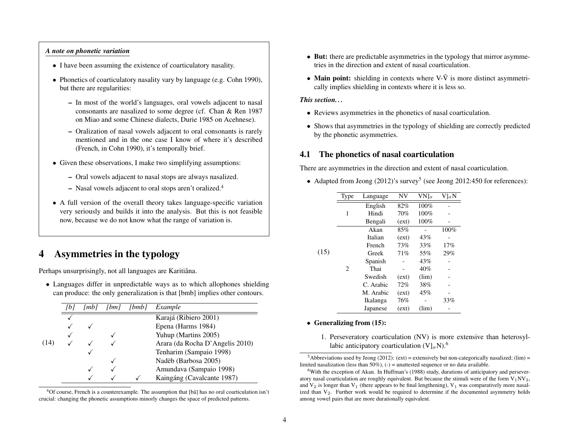#### *A note on phonetic variation*

- I have been assuming the existence of coarticulatory nasality.
- Phonetics of coarticulatory nasality vary by language (e.g. Cohn 1990), but there are regularities:
	- In most of the world's languages, oral vowels adjacent to nasal consonants are nasalized to some degree (cf. Chan & Ren 1987 on Miao and some Chinese dialects, Durie 1985 on Acehnese).
	- Oralization of nasal vowels adjacent to oral consonants is rarely mentioned and in the one case I know of where it's described (French, in Cohn 1990), it's temporally brief.
- Given these observations, I make two simplifying assumptions:
	- Oral vowels adjacent to nasal stops are always nasalized.
	- Nasal vowels adjacent to oral stops aren't oralized.<sup>4</sup>
- A full version of the overall theory takes language-specific variation very seriously and builds it into the analysis. But this is not feasible now, because we do not know what the range of variation is.

# 4 Asymmetries in the typology

Perhaps unsurprisingly, not all languages are Karitiâna.

• Languages differ in unpredictable ways as to which allophones shielding can produce: the only generalization is that [bmb] implies other contours.

|      | l mb I | bm | bmb | Example                         |
|------|--------|----|-----|---------------------------------|
|      |        |    |     | Karajá (Ribiero 2001)           |
|      |        |    |     | Epena (Harms 1984)              |
|      |        |    |     | Yuhup (Martins 2005)            |
| (14) |        |    |     | Arara (da Rocha D'Angelis 2010) |
|      |        |    |     | Tenharim (Sampaio 1998)         |
|      |        |    |     | Nadëb (Barbosa 2005)            |
|      |        |    |     | Amundava (Sampaio 1998)         |
|      |        |    |     | Kaingáng (Cavalcante 1987)      |

 $4$ Of course, French is a counterexample. The assumption that [bã] has no oral coarticulation isn't crucial: changing the phonetic assumptions minorly changes the space of predicted patterns.

- But: there are predictable asymmetries in the typology that mirror asymmetries in the direction and extent of nasal coarticulation.
- Main point: shielding in contexts where  $V\tilde{V}$  is more distinct asymmetrically implies shielding in contexts where it is less so.

#### *This section. . .*

- Reviews asymmetries in the phonetics of nasal coarticulation.
- Shows that asymmetries in the typology of shielding are correctly predicted by the phonetic asymmetries.

### 4.1 The phonetics of nasal coarticulation

There are asymmetries in the direction and extent of nasal coarticulation.

• Adapted from Jeong (2012)'s survey<sup>5</sup> (see Jeong 2012:450 for references):

|      | Type | Language  | NV    | $VN]_{\sigma}$ | $\rm V]_{\sigma}N$ |
|------|------|-----------|-------|----------------|--------------------|
|      |      | English   | 82%   | 100%           |                    |
|      | 1    | Hindi     | 70%   | 100%           |                    |
|      |      | Bengali   | (ext) | 100%           |                    |
|      |      | Akan      | 85%   |                | 100%               |
|      |      | Italian   | (ext) | 43%            |                    |
|      |      | French    | 73%   | 33%            | 17%                |
| (15) |      | Greek     | 71%   | 55%            | 29%                |
|      |      | Spanish   |       | 43%            |                    |
|      | 2    | Thai      |       | 40%            |                    |
|      |      | Swedish   | (ext) | (lim)          |                    |
|      |      | C. Arabic | 72%   | 38%            |                    |
|      |      | M. Arabic | (ext) | 45%            |                    |
|      |      | Ikalanga  | 76%   |                | 33%                |
|      |      | Japanese  | (ext) | (lim)          |                    |

#### • Generalizing from (15):

1. Perseveratory coarticulation (NV) is more extensive than heterosyllabic anticipatory coarticulation  $(V)_{\sigma}N$ .<sup>6</sup>

<sup>&</sup>lt;sup>5</sup>Abbreviations used by Jeong (2012): (ext) = extensively but non-categorically nasalized; (lim) = limited nasalization (less than  $50\%$ ), (-) = unattested sequence or no data available.

<sup>6</sup>With the exception of Akan. In Huffman's (1988) study, durations of anticipatory and perseveratory nasal coarticulation are roughly equivalent. But because the stimuli were of the form  $V_1NV_2$ , and  $V_2$  is longer than  $V_1$  (there appears to be final lengthening),  $V_1$  was comparatively more nasalized than  $V_2$ . Further work would be required to determine if the documented asymmetry holds among vowel pairs that are more durationally equivalent.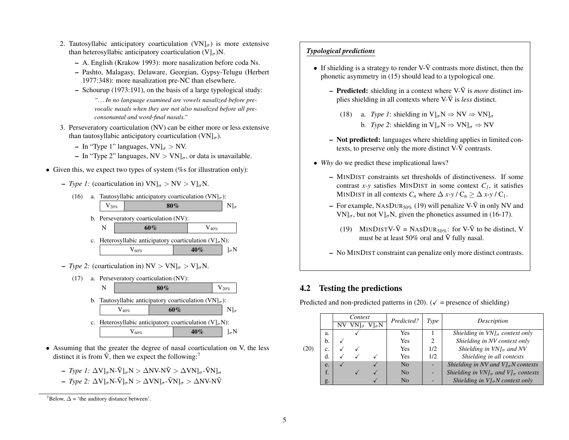- 2. Tautosyllabic anticipatory coarticulation  $(VN)_{\sigma}$ ) is more extensive than heterosyllabic anticipatory coarticulation  $(V|_{\sigma})N$ .
	- A. English (Krakow 1993): more nasalization before coda Ns.
	- Pashto, Malagasy, Delaware, Georgian, Gypsy-Telugu (Herbert 1977:348): more nasalization pre-NC than elsewhere.
	- Schourup (1973:191), on the basis of a large typological study:
		- *". . . In no language examined are vowels nasalized before prevocalic nasals when they are not also nasalized before all preconsonantal and word-final nasals."*
- 3. Perseveratory coarticulation (NV) can be either more or less extensive than tautosyllabic anticipatory coarticulation  $(VN]_{\sigma}$ ).
	- In "Type 1" languages,  $VN|_{\sigma} > NV$ .
	- In "Type 2" languages,  $NV > VN|_{\sigma}$ , or data is unavailable.
- Given this, we expect two types of system  $(\%$ s for illustration only):
	- *Type 1:* (coarticulation in)  $VN|_{\sigma} > NV > VI_{\sigma}N$ .



– *Type 2:* (coarticulation in)  $NV > VN|_{\sigma} > V|_{\sigma}N$ .



- Assuming that the greater the degree of nasal coarticulation on V, the less distinct it is from  $\tilde{V}$ , then we expect the following:<sup>7</sup>
	- *Type 1*:  $\Delta V$ ]<sub>σ</sub>N- $\tilde{V}$ ]<sub>σ</sub>N >  $\Delta NV$ - $N\tilde{V}$  >  $\Delta VN$ ]<sub>σ</sub>- $\tilde{V}N$ ]<sub>σ</sub>
	- *Type 2*:  $\Delta$ V]<sub>σ</sub>N- $\tilde{V}$ ]<sub>σ</sub>N >  $\Delta$ VN]<sub>σ</sub>- $\tilde{V}N$ ]<sub>σ</sub> >  $\Delta$ NV-N $\tilde{V}$

#### *Typological predictions*

- If shielding is a strategy to render V- $\tilde{V}$  contrasts more distinct, then the phonetic asymmetry in (15) should lead to a typological one.
	- **Predicted:** shielding in a context where  $V\text{-}\tilde{V}$  is *more* distinct implies shielding in all contexts where  $V\tilde{V}$  is *less* distinct.
		- (18) a. *Type 1*: shielding in  $V|_{\sigma}N \Rightarrow NV \Rightarrow VN|_{\sigma}$ b. *Type 2*: shielding in  $V|_{\sigma}N \Rightarrow VN|_{\sigma} \Rightarrow NV$
	- Not predicted: languages where shielding applies in limited contexts, to preserve only the more distinct  $V-\tilde{V}$  contrasts.
- *Why* do we predict these implicational laws?
	- MINDIST constraints set thresholds of distinctiveness. If some contrast  $x-y$  satisfies MINDIST in some context  $C_1$ , it satisfies MINDIST in all contexts  $C_n$  where  $\Delta x$ -y /  $C_n \ge \Delta x$ -y /  $C_1$ .
	- For example, NASDUR<sub>50%</sub> (19) will penalize V- $\tilde{V}$  in only NV and  $VN]_{\sigma}$ , but not  $V]_{\sigma}N$ , given the phonetics assumed in (16-17).
		- (19) MINDISTV- $\tilde{V} =$  NASDUR<sub>50%</sub>: for V- $\tilde{V}$  to be distinct, V must be at least 50% oral and  $\tilde{V}$  fully nasal.
	- No MINDIST constraint can penalize only more distinct contrasts.

## 4.2 Testing the predictions

Predicted and non-predicted patterns in (20). ( $\sqrt{\ }$  = presence of shielding)

|      |    | Context |                   | Predicted? | Type           | Description |                                                        |
|------|----|---------|-------------------|------------|----------------|-------------|--------------------------------------------------------|
|      |    |         | NV $VN]_{\sigma}$ | $V\sigmaN$ |                |             |                                                        |
|      | a. |         |                   |            | Yes            |             | Shielding in $VNJ_{\sigma}$ context only               |
|      | b. |         |                   |            | Yes            | 2           | Shielding in NV context only                           |
| (20) | c. |         |                   |            | Yes            | 1/2         | Shielding in $VNJ_{\sigma}$ and NV                     |
|      | d. |         |                   |            | Yes            | 1/2         | Shielding in all contexts                              |
|      | e. |         |                   |            | N <sub>0</sub> |             | Shielding in NV and $V _{\sigma}N$ contexts            |
|      | f. |         |                   |            | N <sub>0</sub> |             | Shielding in $VN _{\sigma}$ and $VI_{\sigma}$ contexts |
|      | g. |         |                   |            | N <sub>0</sub> |             | Shielding in $V _{\sigma}N$ context only               |

 $^7$ Below,  $\Delta$  = 'the auditory distance between'.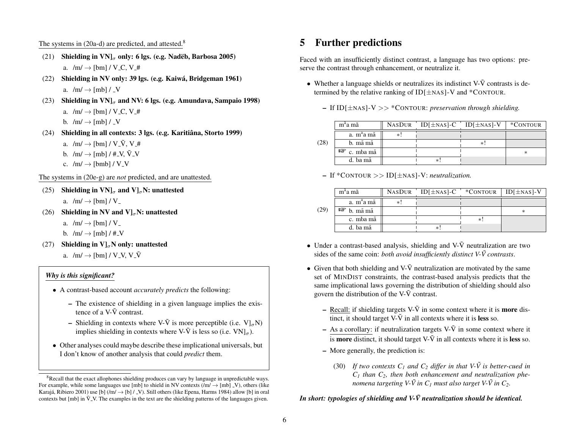### The systems in  $(20a-d)$  are predicted, and attested.<sup>8</sup>

- (21) Shielding in  $VN|_{\sigma}$  only: 6 lgs. (e.g. Nadëb, Barbosa 2005) a.  $/m / \rightarrow$  [bm] / V<sub>-C</sub>, V<sub>-</sub>#
- (22) Shielding in NV only: 39 lgs. (e.g. Kaiwa, Bridgeman 1961) ´ a.  $/m/\rightarrow$  [mb] / \_V
- (23) Shielding in  $VN|_{\sigma}$  and NV: 6 lgs. (e.g. Amundava, Sampaio 1998) a.  $/m/ \rightarrow$  [bm] / V\_C, V\_# b.  $/m/\rightarrow$  [mb] / \_V
- (24) Shielding in all contexts: 3 lgs. (e.g. Karitiâna, Storto 1999) a.  $/m/ \rightarrow$  [bm] / V\_V, V\_#
	- b.  $/m/\rightarrow$  [mb] / #\_V,  $\tilde{V}$ \_V
	- c.  $/m/ \rightarrow$  [bmb] / V\_V

The systems in (20e-g) are *not* predicted, and are unattested.

(25) Shielding in  $VN|_{\sigma}$  and  $VI_{\sigma}N$ : unattested

a.  $/m/\rightarrow$  [bm] / V<sub>-</sub>

- (26) Shielding in NV and  $V|_{\sigma}N$ : unattested
	- a.  $/m/ \rightarrow$  [bm] / V<sub>-</sub>
	- b.  $/m/\rightarrow$  [mb] / #\_V
- (27) Shielding in  $V|_{\sigma}N$  only: unattested
	- a.  $/m/ \rightarrow$  [bm] / V\_V, V\_ $\tilde{V}$

#### *Why is this significant?*

- A contrast-based account *accurately predicts* the following:
	- The existence of shielding in a given language implies the existence of a  $V\text{-}\tilde{V}$  contrast.
	- Shielding in contexts where V- $\tilde{V}$  is more perceptible (i.e.  $V]_{\sigma}N$ ) implies shielding in contexts where V- $\tilde{V}$  is less so (i.e.  $VN]_{\sigma}$ ).
- Other analyses could maybe describe these implicational universals, but I don't know of another analysis that could *predict* them.

# 5 Further predictions

Faced with an insufficiently distinct contrast, a language has two options: preserve the contrast through enhancement, or neutralize it.

- Whether a language shields or neutralizes its indistinct  $V-\tilde{V}$  contrasts is determined by the relative ranking of  $ID[±\text{NAS}]$ -V and  $*$ CONTOUR.
	- If ID[±NAS]-V >> \*CONTOUR: *preservation through shielding.*

|      | m <sup>a</sup> a mã    |     | $NASDUR$ ID[ $\pm$ NAS]-C ID[ $\pm$ NAS]-V | *CONTOUR |
|------|------------------------|-----|--------------------------------------------|----------|
|      | a. m <sup>a</sup> a mã | $*$ |                                            |          |
| (28) | b. mã mã               |     |                                            |          |
|      | $\mathbb{F}$ c. mba mã |     |                                            |          |
|      | d. ba mã               |     |                                            |          |

– If \*CONTOUR >> ID[±NAS]-V: *neutralization.*

|      | m <sup>a</sup> a mã    |     | NASDUR $ID[±NAS]-C$ |    | $\cdot$ *CONTOUR   ID[ $\pm$ NAS]-V |
|------|------------------------|-----|---------------------|----|-------------------------------------|
|      | a. m <sup>a</sup> a mã | $*$ |                     |    |                                     |
| (29) | $\n  F$ b. mã mã       |     |                     |    |                                     |
|      | c. mba mã              |     |                     | *! |                                     |
|      | d. ba mã               |     |                     |    |                                     |

- Under a contrast-based analysis, shielding and  $V\tilde{V}$  neutralization are two sides of the same coin: *both avoid insufficiently distinct V-* $\tilde{V}$  *contrasts.*
- Given that both shielding and  $V-\tilde{V}$  neutralization are motivated by the same set of MINDIST constraints, the contrast-based analysis predicts that the same implicational laws governing the distribution of shielding should also govern the distribution of the  $V-\tilde{V}$  contrast.
	- Recall: if shielding targets V- $\tilde{V}$  in some context where it is **more** distinct, it should target  $V\tilde{V}$  in all contexts where it is **less** so.
	- As a corollary: if neutralization targets V- $\tilde{V}$  in some context where it is **more** distinct, it should target V- $\tilde{V}$  in all contexts where it is **less** so.
	- More generally, the prediction is:
		- (30) *If two contexts*  $C_1$  *and*  $C_2$  *differ in that*  $V$ - $\tilde{V}$  *is better-cued in C<sup>1</sup> than C2, then both enhancement and neutralization phenomena targeting V-* $\tilde{V}$  *in*  $C_{1}$  *must also target V-* $\tilde{V}$  *in*  $C_{2}.$

## *In short: typologies of shielding and V-* $\tilde{V}$  *neutralization should be identical.*

<sup>&</sup>lt;sup>8</sup>Recall that the exact allophones shielding produces can vary by language in unpredictable ways. For example, while some languages use [mb] to shield in NV contexts ( $/m \rightarrow$  [mb] V), others (like Karajá, Ribiero 2001) use [b]  $/(m/ \rightarrow$  [b]  $/ N$ . Still others (like Epena, Harms 1984) allow [b] in oral contexts but  $[mb]$  in  $\tilde{V}$ -V. The examples in the text are the shielding patterns of the languages given.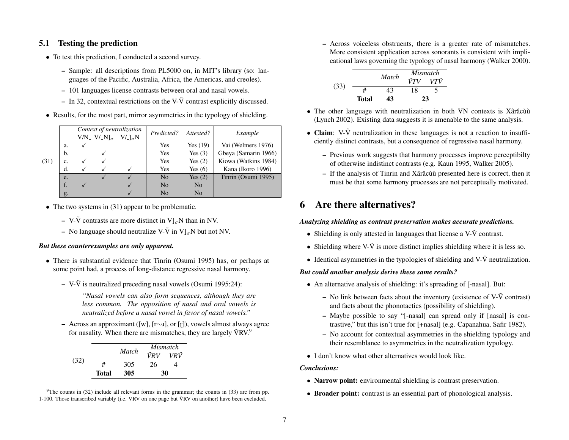## 5.1 Testing the prediction

- To test this prediction, I conducted a second survey.
	- Sample: all descriptions from PL5000 on, in MIT's library (so: languages of the Pacific, Australia, Africa, the Americas, and creoles).
	- 101 languages license contrasts between oral and nasal vowels.
	- In 32, contextual restrictions on the V- $\tilde{V}$  contrast explicitly discussed.
- Results, for the most part, mirror asymmetries in the typology of shielding.

|      |    | V/N <sub>-</sub> V/ <sub>-</sub> N] $_{\sigma}$ | Context of neutralization<br>V/L <sub>a</sub> N | Predicted?     | Attested?      | Example              |
|------|----|-------------------------------------------------|-------------------------------------------------|----------------|----------------|----------------------|
|      | a. |                                                 |                                                 | Yes            | Yes $(19)$     | Vai (Welmers 1976)   |
|      | b. |                                                 |                                                 | Yes            | Yes $(3)$      | Gbeya (Samarin 1966) |
| (31) | c. |                                                 |                                                 | Yes            | Yes $(2)$      | Kiowa (Watkins 1984) |
|      | d. |                                                 |                                                 | Yes            | Yes $(6)$      | Kana (Ikoro 1996)    |
|      | e. |                                                 |                                                 | N <sub>0</sub> | Yes $(2)$      | Tinrin (Osumi 1995)  |
|      | f. |                                                 |                                                 | N <sub>0</sub> | N <sub>o</sub> |                      |
|      | g. |                                                 |                                                 | N <sub>0</sub> | N <sub>o</sub> |                      |

- The two systems in (31) appear to be problematic.
	- V- $\tilde{V}$  contrasts are more distinct in  $V$ <sub> $\sigma$ </sub>N than in NV.
	- No language should neutralize V- $\tilde{V}$  in  $V$ <sub> $\sigma$ </sub>N but not NV.

#### *But these counterexamples are only apparent.*

- There is substantial evidence that Tinrin (Osumi 1995) has, or perhaps at some point had, a process of long-distance regressive nasal harmony.
	- V- $\tilde{V}$  is neutralized preceding nasal vowels (Osumi 1995:24):

*"Nasal vowels can also form sequences, although they are less common. The opposition of nasal and oral vowels is neutralized before a nasal vowel in favor of nasal vowels."*

– Across an approximant ([w], [r∼ɪ], or [f]), vowels almost always agree for nasality. When there are mismatches, they are largely  $\tilde{V}RV<sup>9</sup>$ .

|      |       |       | Mismatch |     |
|------|-------|-------|----------|-----|
|      |       | Match | ŨRV      | VRŨ |
| (32) | #     | 305   | 26       |     |
|      | Total | 305   | 30       |     |

<sup>&</sup>lt;sup>9</sup>The counts in (32) include all relevant forms in the grammar; the counts in (33) are from pp. 1-100. Those transcribed variably (i.e. VRV on one page but VRV on another) have been excluded. ˜

– Across voiceless obstruents, there is a greater rate of mismatches. More consistent application across sonorants is consistent with implicational laws governing the typology of nasal harmony (Walker 2000).

$$
(33) \quad \begin{array}{c|cc}\n & \text{Match} & \text{Mismatch} \\
\hline\n & \text{VTV} & \text{VTV} \\
\hline\n & \text{Total} & \text{43} & \text{18} & 5 \\
\hline\n & 23 & & \\
\end{array}
$$

- The other language with neutralization in both VN contexts is Xârâcùu` (Lynch 2002). Existing data suggests it is amenable to the same analysis.
- Claim:  $V\tilde{V}$  neutralization in these languages is not a reaction to insufficiently distinct contrasts, but a consequence of regressive nasal harmony.
	- Previous work suggests that harmony processes improve perceptibilty of otherwise indistinct contrasts (e.g. Kaun 1995, Walker 2005).
	- $-$  If the analysis of Tinrin and Xârâ cùu presented here is correct, then it must be that some harmony processes are not perceptually motivated.

# 6 Are there alternatives?

#### *Analyzing shielding as contrast preservation makes accurate predictions.*

- Shielding is only attested in languages that license a  $V\tilde{V}$  contrast.
- Shielding where  $V-\tilde{V}$  is more distinct implies shielding where it is less so.
- Identical asymmetries in the typologies of shielding and  $V\tilde{V}$  neutralization.

#### *But could another analysis derive these same results?*

- An alternative analysis of shielding: it's spreading of [-nasal]. But:
	- No link between facts about the inventory (existence of  $V-\tilde{V}$  contrast) and facts about the phonotactics (possibility of shielding).
	- Maybe possible to say "[-nasal] can spread only if [nasal] is contrastive," but this isn't true for [+nasal] (e.g. Capanahua, Safir 1982).
	- No account for contextual asymmetries in the shielding typology and their resemblance to asymmetries in the neutralization typology.
- I don't know what other alternatives would look like.

#### *Conclusions:*

- Narrow point: environmental shielding is contrast preservation.
- Broader point: contrast is an essential part of phonological analysis.